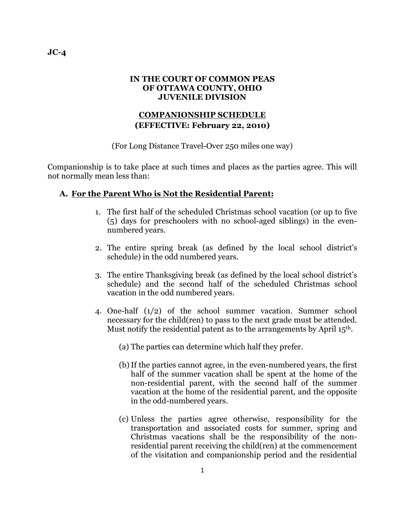#### **IN THE COURT OF COMMON PEAS OF OTTAWA COUNTY, OHIO JUVENILE DIVISION**

## **COMPANIONSHIP SCHEDULE (EFFECTIVE: February 22, 2010)**

(For Long Distance Travel-Over 250 miles one way)

Companionship is to take place at such times and places as the parties agree. This will not normally mean less than:

### **A. For the Parent Who is Not the Residential Parent:**

- 1. The first half of the scheduled Christmas school vacation (or up to five (5) days for preschoolers with no school-aged siblings) in the evennumbered years.
- 2. The entire spring break (as defined by the local school district's schedule) in the odd numbered years.
- 3. The entire Thanksgiving break (as defined by the local school district's schedule) and the second half of the scheduled Christmas school vacation in the odd numbered years.
- 4. One-half (1/2) of the school summer vacation. Summer school necessary for the child(ren) to pass to the next grade must be attended. Must notify the residential patent as to the arrangements by April 15th.
	- (a) The parties can determine which half they prefer.
	- (b)If the parties cannot agree, in the even-numbered years, the first half of the summer vacation shall be spent at the home of the non-residential parent, with the second half of the summer vacation at the home of the residential parent, and the opposite in the odd-numbered years.
	- (c) Unless the parties agree otherwise, responsibility for the transportation and associated costs for summer, spring and Christmas vacations shall be the responsibility of the nonresidential parent receiving the child(ren) at the commencement of the visitation and companionship period and the residential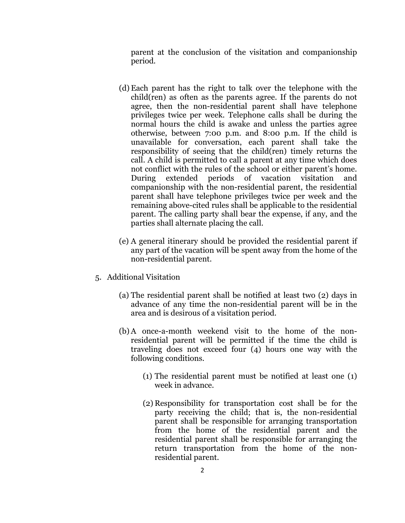parent at the conclusion of the visitation and companionship period.

- (d) Each parent has the right to talk over the telephone with the child(ren) as often as the parents agree. If the parents do not agree, then the non-residential parent shall have telephone privileges twice per week. Telephone calls shall be during the normal hours the child is awake and unless the parties agree otherwise, between 7:00 p.m. and 8:00 p.m. If the child is unavailable for conversation, each parent shall take the responsibility of seeing that the child(ren) timely returns the call. A child is permitted to call a parent at any time which does not conflict with the rules of the school or either parent's home. During extended periods of vacation visitation and companionship with the non-residential parent, the residential parent shall have telephone privileges twice per week and the remaining above-cited rules shall be applicable to the residential parent. The calling party shall bear the expense, if any, and the parties shall alternate placing the call.
- (e) A general itinerary should be provided the residential parent if any part of the vacation will be spent away from the home of the non-residential parent.
- 5. Additional Visitation
	- (a) The residential parent shall be notified at least two (2) days in advance of any time the non-residential parent will be in the area and is desirous of a visitation period.
	- (b) A once-a-month weekend visit to the home of the nonresidential parent will be permitted if the time the child is traveling does not exceed four (4) hours one way with the following conditions.
		- (1) The residential parent must be notified at least one (1) week in advance.
		- (2) Responsibility for transportation cost shall be for the party receiving the child; that is, the non-residential parent shall be responsible for arranging transportation from the home of the residential parent and the residential parent shall be responsible for arranging the return transportation from the home of the nonresidential parent.